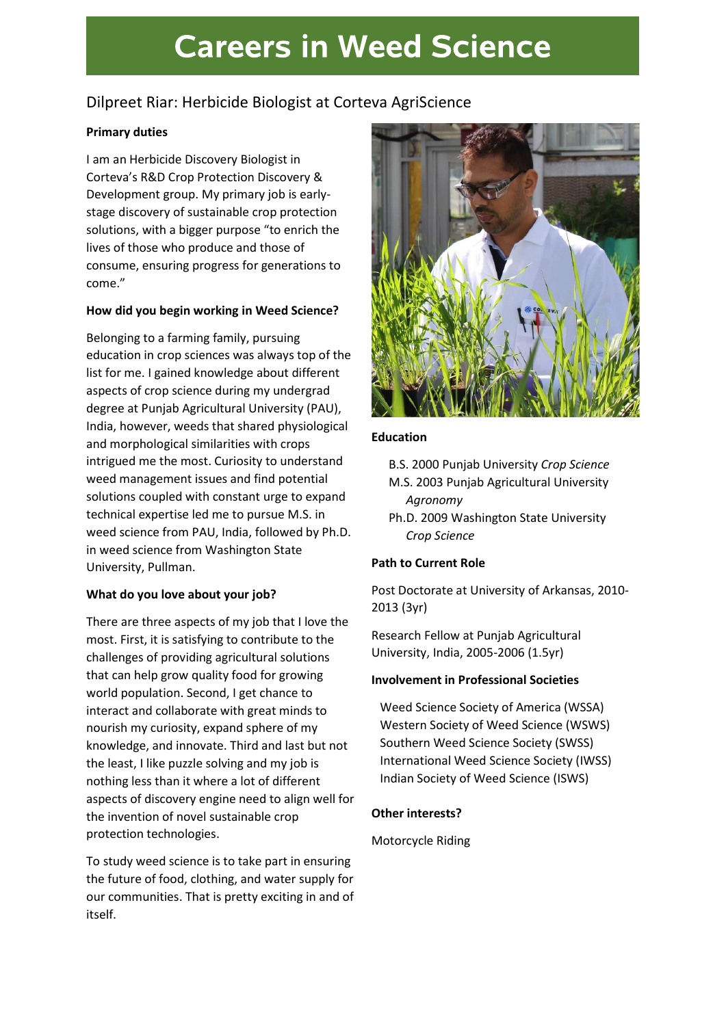# **Careers in Weed Science**

# Dilpreet Riar: Herbicide Biologist at Corteva AgriScience

# Primary duties

I am an Herbicide Discovery Biologist in Corteva's R&D Crop Protection Discovery & Development group. My primary job is earlystage discovery of sustainable crop protection solutions, with a bigger purpose "to enrich the lives of those who produce and those of consume, ensuring progress for generations to come."

# How did you begin working in Weed Science?

Belonging to a farming family, pursuing education in crop sciences was always top of the list for me. I gained knowledge about different aspects of crop science during my undergrad degree at Punjab Agricultural University (PAU), India, however, weeds that shared physiological and morphological similarities with crops intrigued me the most. Curiosity to understand weed management issues and find potential solutions coupled with constant urge to expand technical expertise led me to pursue M.S. in weed science from PAU, India, followed by Ph.D. in weed science from Washington State University, Pullman.

# What do you love about your job?

There are three aspects of my job that I love the most. First, it is satisfying to contribute to the challenges of providing agricultural solutions that can help grow quality food for growing world population. Second, I get chance to interact and collaborate with great minds to nourish my curiosity, expand sphere of my knowledge, and innovate. Third and last but not the least, I like puzzle solving and my job is nothing less than it where a lot of different aspects of discovery engine need to align well for the invention of novel sustainable crop protection technologies.

To study weed science is to take part in ensuring the future of food, clothing, and water supply for our communities. That is pretty exciting in and of itself.



#### Education

- B.S. 2000 Punjab University Crop Science M.S. 2003 Punjab Agricultural University
- Agronomy
- Ph.D. 2009 Washington State University Crop Science

# Path to Current Role

Post Doctorate at University of Arkansas, 2010- 2013 (3yr)

Research Fellow at Punjab Agricultural University, India, 2005-2006 (1.5yr)

# Involvement in Professional Societies

Weed Science Society of America (WSSA) Western Society of Weed Science (WSWS) Southern Weed Science Society (SWSS) International Weed Science Society (IWSS) Indian Society of Weed Science (ISWS)

# Other interests?

Motorcycle Riding